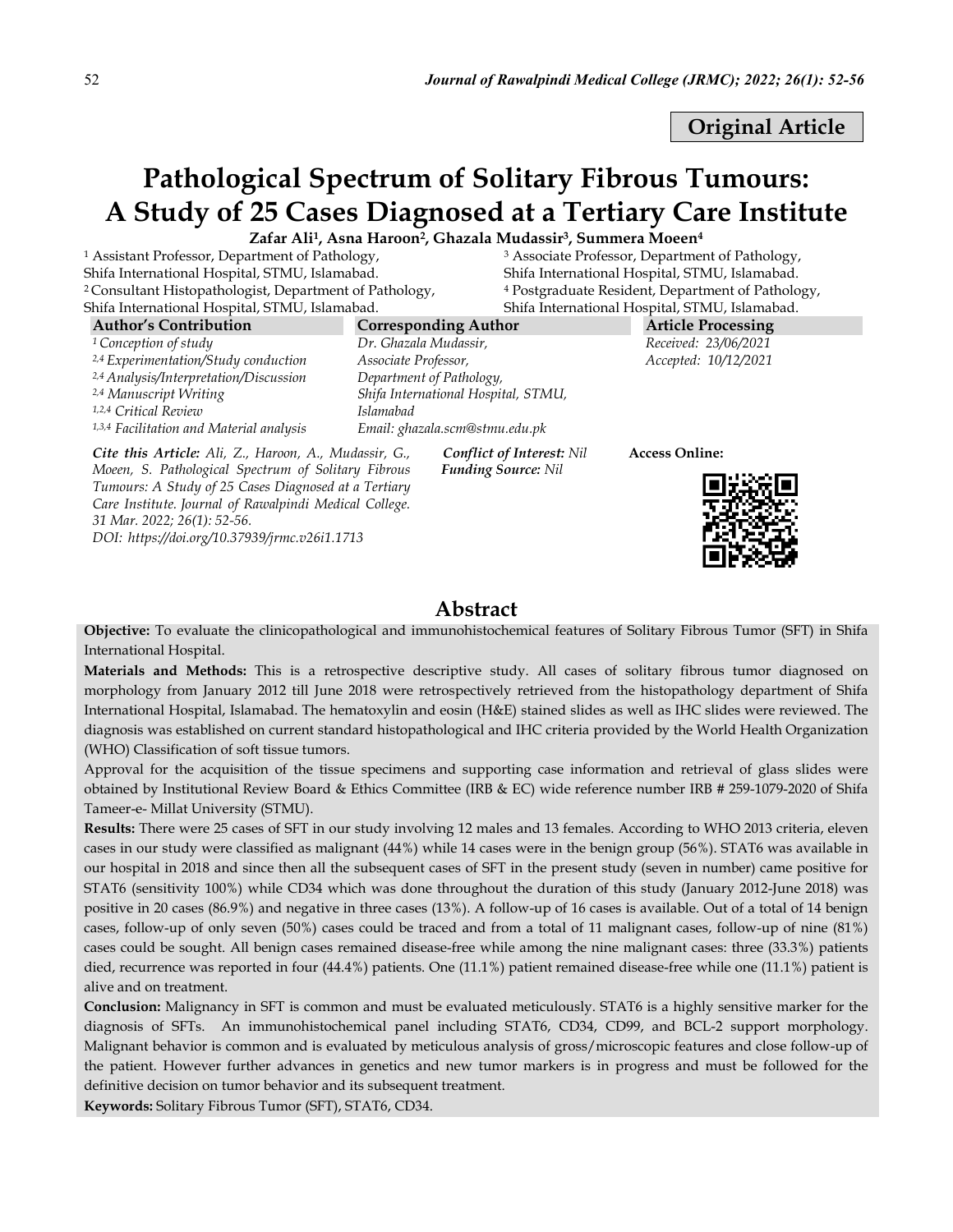Original Article

# Pathological Spectrum of Solitary Fibrous Tumours: A Study of 25 Cases Diagnosed at a Tertiary Care Institute

Zafar Ali<sup>1</sup>, Asna Haroon<sup>2</sup>, Ghazala Mudassir<sup>3</sup>, Summera Moeen<sup>4</sup>

<sup>1</sup> Assistant Professor, Department of Pathology, Shifa International Hospital, STMU, Islamabad. <sup>2</sup> Consultant Histopathologist, Department of Pathology, Shifa International Hospital, STMU, Islamabad.

<sup>3</sup> Associate Professor, Department of Pathology, Shifa International Hospital, STMU, Islamabad. <sup>4</sup> Postgraduate Resident, Department of Pathology, Shifa International Hospital, STMU, Islamabad.

| <b>Author's Contribution</b>                                                                                       | <b>Corresponding Author</b>         | <b>Article Processing</b> |  |  |
|--------------------------------------------------------------------------------------------------------------------|-------------------------------------|---------------------------|--|--|
| <sup>1</sup> Conception of study                                                                                   | Dr. Ghazala Mudassir,               | Received: 23/06/2021      |  |  |
| <sup>2,4</sup> Experimentation/Study conduction                                                                    | Associate Professor,                | Accepted: 10/12/2021      |  |  |
| <sup>2,4</sup> Analysis/Interpretation/Discussion                                                                  | Department of Pathology,            |                           |  |  |
| <sup>2,4</sup> Manuscript Writing                                                                                  | Shifa International Hospital, STMU, |                           |  |  |
| <sup>1,2,4</sup> Critical Review                                                                                   | <i>Islamabad</i>                    |                           |  |  |
| 1,3,4 Facilitation and Material analysis                                                                           | Email: ghazala.scm@stmu.edu.pk      |                           |  |  |
| Cite this Article: Ali, Z., Haroon, A., Mudassir, G.,<br><b>Conflict of Interest: Nil</b><br><b>Access Online:</b> |                                     |                           |  |  |

*Cite this Article: Ali, Z., Haroon, A., Mudassir, G., Moeen, S. Pathological Spectrum of Solitary Fibrous Tumours: A Study of 25 Cases Diagnosed at a Tertiary Care Institute. Journal of Rawalpindi Medical College. 31 Mar. 2022; 26(1): 52-56. DOI: https://doi.org/10.37939/jrmc.v26i1.1713*

 *Funding Source: Nil*



# Abstract

Objective: To evaluate the clinicopathological and immunohistochemical features of Solitary Fibrous Tumor (SFT) in Shifa International Hospital.

Materials and Methods: This is a retrospective descriptive study. All cases of solitary fibrous tumor diagnosed on morphology from January 2012 till June 2018 were retrospectively retrieved from the histopathology department of Shifa International Hospital, Islamabad. The hematoxylin and eosin (H&E) stained slides as well as IHC slides were reviewed. The diagnosis was established on current standard histopathological and IHC criteria provided by the World Health Organization (WHO) Classification of soft tissue tumors.

Approval for the acquisition of the tissue specimens and supporting case information and retrieval of glass slides were obtained by Institutional Review Board & Ethics Committee (IRB & EC) wide reference number IRB # 259-1079-2020 of Shifa Tameer-e- Millat University (STMU).

Results: There were 25 cases of SFT in our study involving 12 males and 13 females. According to WHO 2013 criteria, eleven cases in our study were classified as malignant (44%) while 14 cases were in the benign group (56%). STAT6 was available in our hospital in 2018 and since then all the subsequent cases of SFT in the present study (seven in number) came positive for STAT6 (sensitivity 100%) while CD34 which was done throughout the duration of this study (January 2012-June 2018) was positive in 20 cases (86.9%) and negative in three cases (13%). A follow-up of 16 cases is available. Out of a total of 14 benign cases, follow-up of only seven (50%) cases could be traced and from a total of 11 malignant cases, follow-up of nine (81%) cases could be sought. All benign cases remained disease-free while among the nine malignant cases: three (33.3%) patients died, recurrence was reported in four (44.4%) patients. One (11.1%) patient remained disease-free while one (11.1%) patient is alive and on treatment.

Conclusion: Malignancy in SFT is common and must be evaluated meticulously. STAT6 is a highly sensitive marker for the diagnosis of SFTs. An immunohistochemical panel including STAT6, CD34, CD99, and BCL-2 support morphology. Malignant behavior is common and is evaluated by meticulous analysis of gross/microscopic features and close follow-up of the patient. However further advances in genetics and new tumor markers is in progress and must be followed for the definitive decision on tumor behavior and its subsequent treatment.

Keywords: Solitary Fibrous Tumor (SFT), STAT6, CD34.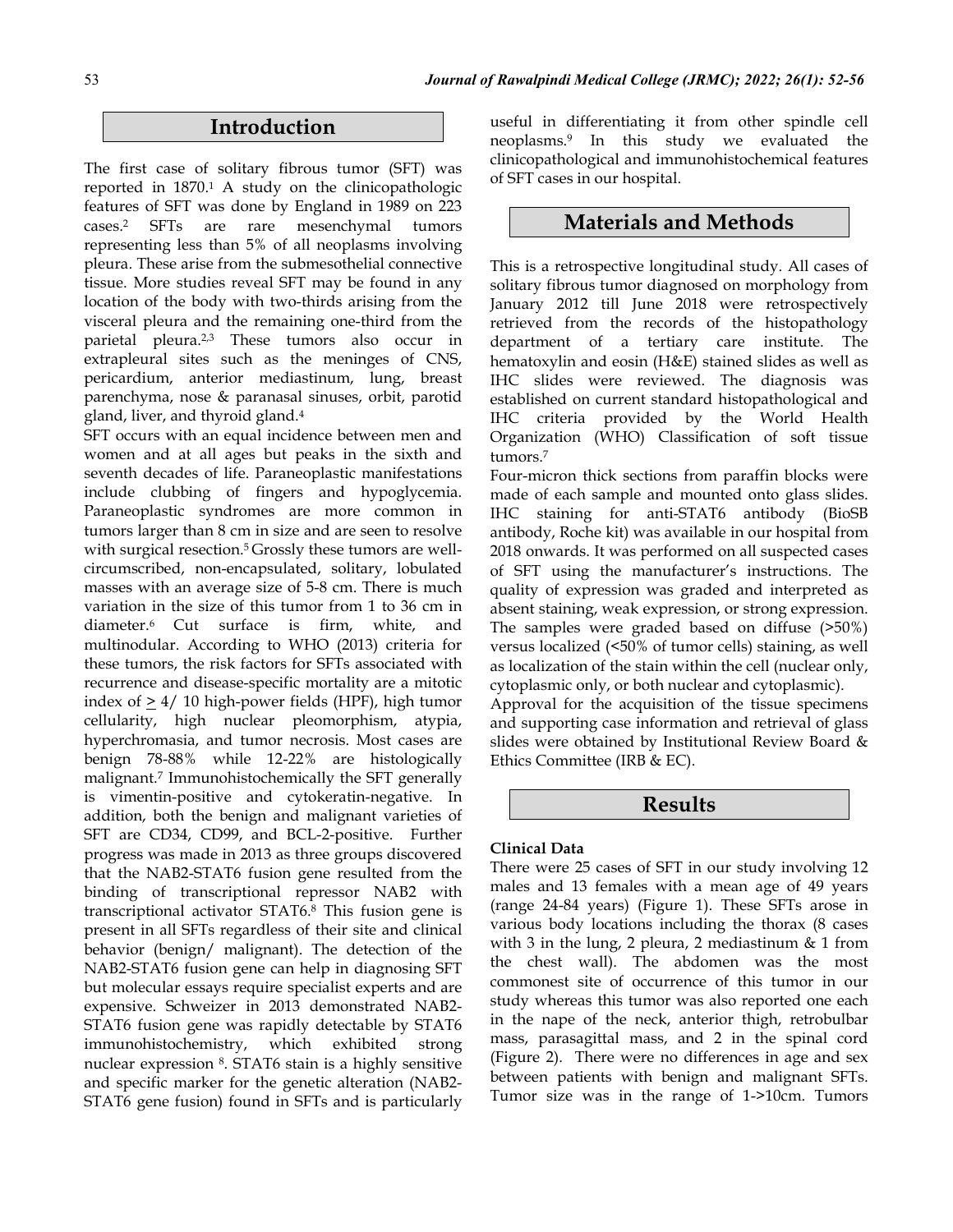# Introduction

The first case of solitary fibrous tumor (SFT) was reported in 1870. <sup>1</sup> A study on the clinicopathologic features of SFT was done by England in 1989 on 223 cases.2 SFTs are rare mesenchymal tumors representing less than 5% of all neoplasms involving pleura. These arise from the submesothelial connective tissue. More studies reveal SFT may be found in any location of the body with two-thirds arising from the visceral pleura and the remaining one-third from the parietal pleura.2,3 These tumors also occur in extrapleural sites such as the meninges of CNS, pericardium, anterior mediastinum, lung, breast parenchyma, nose & paranasal sinuses, orbit, parotid gland, liver, and thyroid gland.4

SFT occurs with an equal incidence between men and women and at all ages but peaks in the sixth and seventh decades of life. Paraneoplastic manifestations include clubbing of fingers and hypoglycemia. Paraneoplastic syndromes are more common in tumors larger than 8 cm in size and are seen to resolve with surgical resection.<sup>5</sup> Grossly these tumors are wellcircumscribed, non-encapsulated, solitary, lobulated masses with an average size of 5-8 cm. There is much variation in the size of this tumor from 1 to 36 cm in diameter.6 Cut surface is firm, white, and multinodular. According to WHO (2013) criteria for these tumors, the risk factors for SFTs associated with recurrence and disease-specific mortality are a mitotic index of  $\geq 4/10$  high-power fields (HPF), high tumor cellularity, high nuclear pleomorphism, atypia, hyperchromasia, and tumor necrosis. Most cases are benign 78-88% while 12-22% are histologically malignant.7 Immunohistochemically the SFT generally is vimentin-positive and cytokeratin-negative. In addition, both the benign and malignant varieties of SFT are CD34, CD99, and BCL-2-positive. Further progress was made in 2013 as three groups discovered that the NAB2-STAT6 fusion gene resulted from the binding of transcriptional repressor NAB2 with transcriptional activator STAT6.8 This fusion gene is present in all SFTs regardless of their site and clinical behavior (benign/ malignant). The detection of the NAB2-STAT6 fusion gene can help in diagnosing SFT but molecular essays require specialist experts and are expensive. Schweizer in 2013 demonstrated NAB2- STAT6 fusion gene was rapidly detectable by STAT6 immunohistochemistry, which exhibited strong nuclear expression 8. STAT6 stain is a highly sensitive and specific marker for the genetic alteration (NAB2- STAT6 gene fusion) found in SFTs and is particularly useful in differentiating it from other spindle cell neoplasms.9 In this study we evaluated the clinicopathological and immunohistochemical features of SFT cases in our hospital.

## Materials and Methods

This is a retrospective longitudinal study. All cases of solitary fibrous tumor diagnosed on morphology from January 2012 till June 2018 were retrospectively retrieved from the records of the histopathology department of a tertiary care institute. The hematoxylin and eosin (H&E) stained slides as well as IHC slides were reviewed. The diagnosis was established on current standard histopathological and IHC criteria provided by the World Health Organization (WHO) Classification of soft tissue tumors.7

Four-micron thick sections from paraffin blocks were made of each sample and mounted onto glass slides. IHC staining for anti-STAT6 antibody (BioSB antibody, Roche kit) was available in our hospital from 2018 onwards. It was performed on all suspected cases of SFT using the manufacturer's instructions. The quality of expression was graded and interpreted as absent staining, weak expression, or strong expression. The samples were graded based on diffuse (>50%) versus localized (<50% of tumor cells) staining, as well as localization of the stain within the cell (nuclear only, cytoplasmic only, or both nuclear and cytoplasmic).

Approval for the acquisition of the tissue specimens and supporting case information and retrieval of glass slides were obtained by Institutional Review Board & Ethics Committee (IRB & EC).

## Results

#### Clinical Data

There were 25 cases of SFT in our study involving 12 males and 13 females with a mean age of 49 years (range 24-84 years) (Figure 1). These SFTs arose in various body locations including the thorax (8 cases with 3 in the lung, 2 pleura, 2 mediastinum & 1 from the chest wall). The abdomen was the most commonest site of occurrence of this tumor in our study whereas this tumor was also reported one each in the nape of the neck, anterior thigh, retrobulbar mass, parasagittal mass, and 2 in the spinal cord (Figure 2). There were no differences in age and sex between patients with benign and malignant SFTs. Tumor size was in the range of 1->10cm. Tumors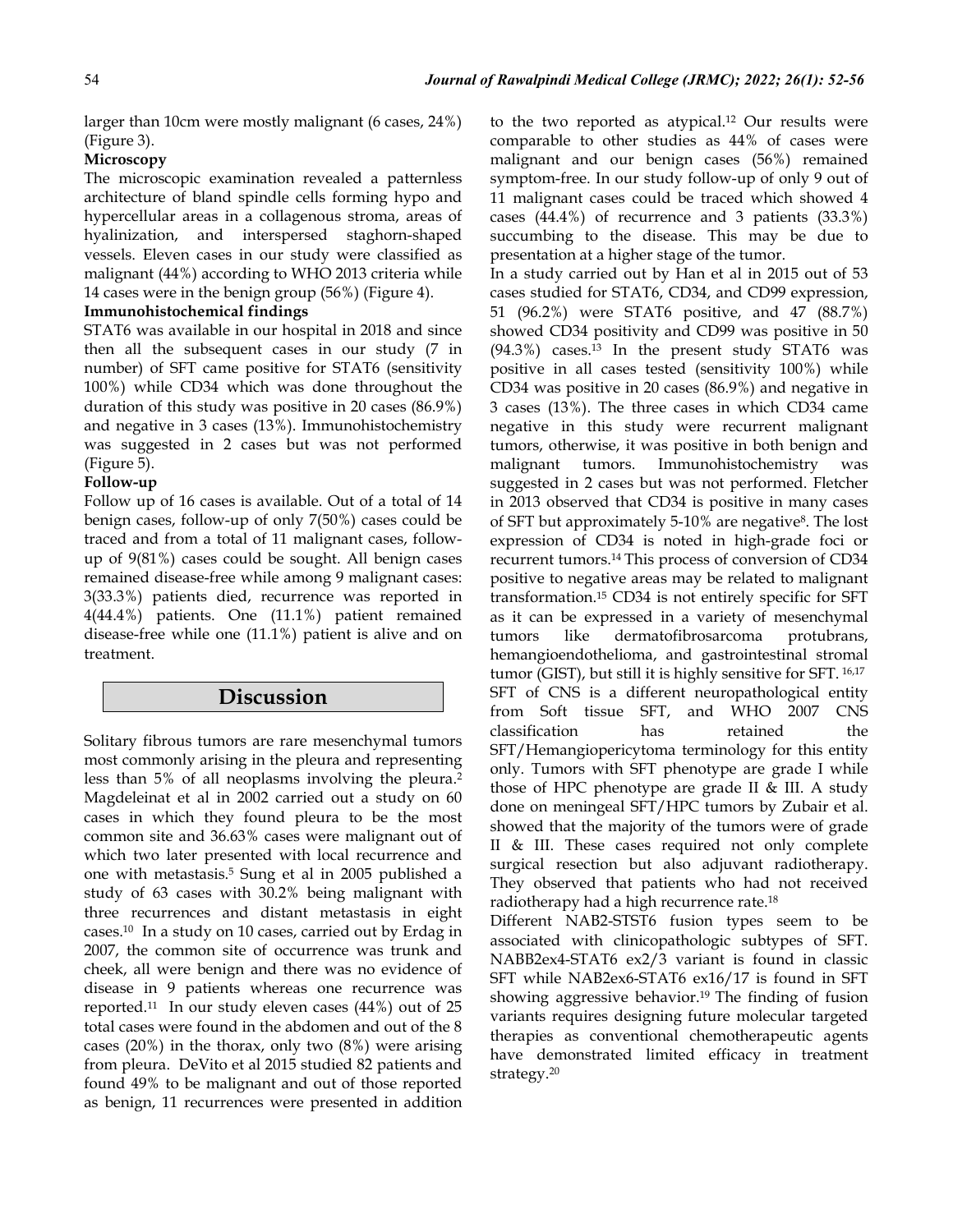larger than 10cm were mostly malignant (6 cases, 24%) (Figure 3).

#### **Microscopy**

The microscopic examination revealed a patternless architecture of bland spindle cells forming hypo and hypercellular areas in a collagenous stroma, areas of hyalinization, and interspersed staghorn-shaped vessels. Eleven cases in our study were classified as malignant (44%) according to WHO 2013 criteria while 14 cases were in the benign group (56%) (Figure 4).

#### Immunohistochemical findings

STAT6 was available in our hospital in 2018 and since then all the subsequent cases in our study (7 in number) of SFT came positive for STAT6 (sensitivity 100%) while CD34 which was done throughout the duration of this study was positive in 20 cases (86.9%) and negative in 3 cases (13%). Immunohistochemistry was suggested in 2 cases but was not performed (Figure 5).

#### Follow-up

Follow up of 16 cases is available. Out of a total of 14 benign cases, follow-up of only 7(50%) cases could be traced and from a total of 11 malignant cases, followup of 9(81%) cases could be sought. All benign cases remained disease-free while among 9 malignant cases: 3(33.3%) patients died, recurrence was reported in 4(44.4%) patients. One (11.1%) patient remained disease-free while one (11.1%) patient is alive and on treatment.

## Discussion

Solitary fibrous tumors are rare mesenchymal tumors most commonly arising in the pleura and representing less than 5% of all neoplasms involving the pleura.2 Magdeleinat et al in 2002 carried out a study on 60 cases in which they found pleura to be the most common site and 36.63% cases were malignant out of which two later presented with local recurrence and one with metastasis.5 Sung et al in 2005 published a study of 63 cases with 30.2% being malignant with three recurrences and distant metastasis in eight cases.10 In a study on 10 cases, carried out by Erdag in 2007, the common site of occurrence was trunk and cheek, all were benign and there was no evidence of disease in 9 patients whereas one recurrence was reported.11 In our study eleven cases (44%) out of 25 total cases were found in the abdomen and out of the 8 cases (20%) in the thorax, only two (8%) were arising from pleura. DeVito et al 2015 studied 82 patients and found 49% to be malignant and out of those reported as benign, 11 recurrences were presented in addition

to the two reported as atypical.12 Our results were comparable to other studies as 44% of cases were malignant and our benign cases (56%) remained symptom-free. In our study follow-up of only 9 out of 11 malignant cases could be traced which showed 4 cases (44.4%) of recurrence and 3 patients (33.3%) succumbing to the disease. This may be due to presentation at a higher stage of the tumor.

In a study carried out by Han et al in 2015 out of 53 cases studied for STAT6, CD34, and CD99 expression, 51 (96.2%) were STAT6 positive, and 47 (88.7%) showed CD34 positivity and CD99 was positive in 50 (94.3%) cases.13 In the present study STAT6 was positive in all cases tested (sensitivity 100%) while CD34 was positive in 20 cases (86.9%) and negative in 3 cases (13%). The three cases in which CD34 came negative in this study were recurrent malignant tumors, otherwise, it was positive in both benign and malignant tumors. Immunohistochemistry was suggested in 2 cases but was not performed. Fletcher in 2013 observed that CD34 is positive in many cases of SFT but approximately 5-10% are negative8. The lost expression of CD34 is noted in high-grade foci or recurrent tumors.14 This process of conversion of CD34 positive to negative areas may be related to malignant transformation.15 CD34 is not entirely specific for SFT as it can be expressed in a variety of mesenchymal tumors like dermatofibrosarcoma protubrans, hemangioendothelioma, and gastrointestinal stromal tumor (GIST), but still it is highly sensitive for SFT. 16,17 SFT of CNS is a different neuropathological entity from Soft tissue SFT, and WHO 2007 CNS classification has retained the SFT/Hemangiopericytoma terminology for this entity only. Tumors with SFT phenotype are grade I while those of HPC phenotype are grade II & III. A study done on meningeal SFT/HPC tumors by Zubair et al. showed that the majority of the tumors were of grade II & III. These cases required not only complete surgical resection but also adjuvant radiotherapy. They observed that patients who had not received radiotherapy had a high recurrence rate.18

Different NAB2-STST6 fusion types seem to be associated with clinicopathologic subtypes of SFT. NABB2ex4-STAT6 ex2/3 variant is found in classic SFT while NAB2ex6-STAT6 ex16/17 is found in SFT showing aggressive behavior.19 The finding of fusion variants requires designing future molecular targeted therapies as conventional chemotherapeutic agents have demonstrated limited efficacy in treatment strategy.20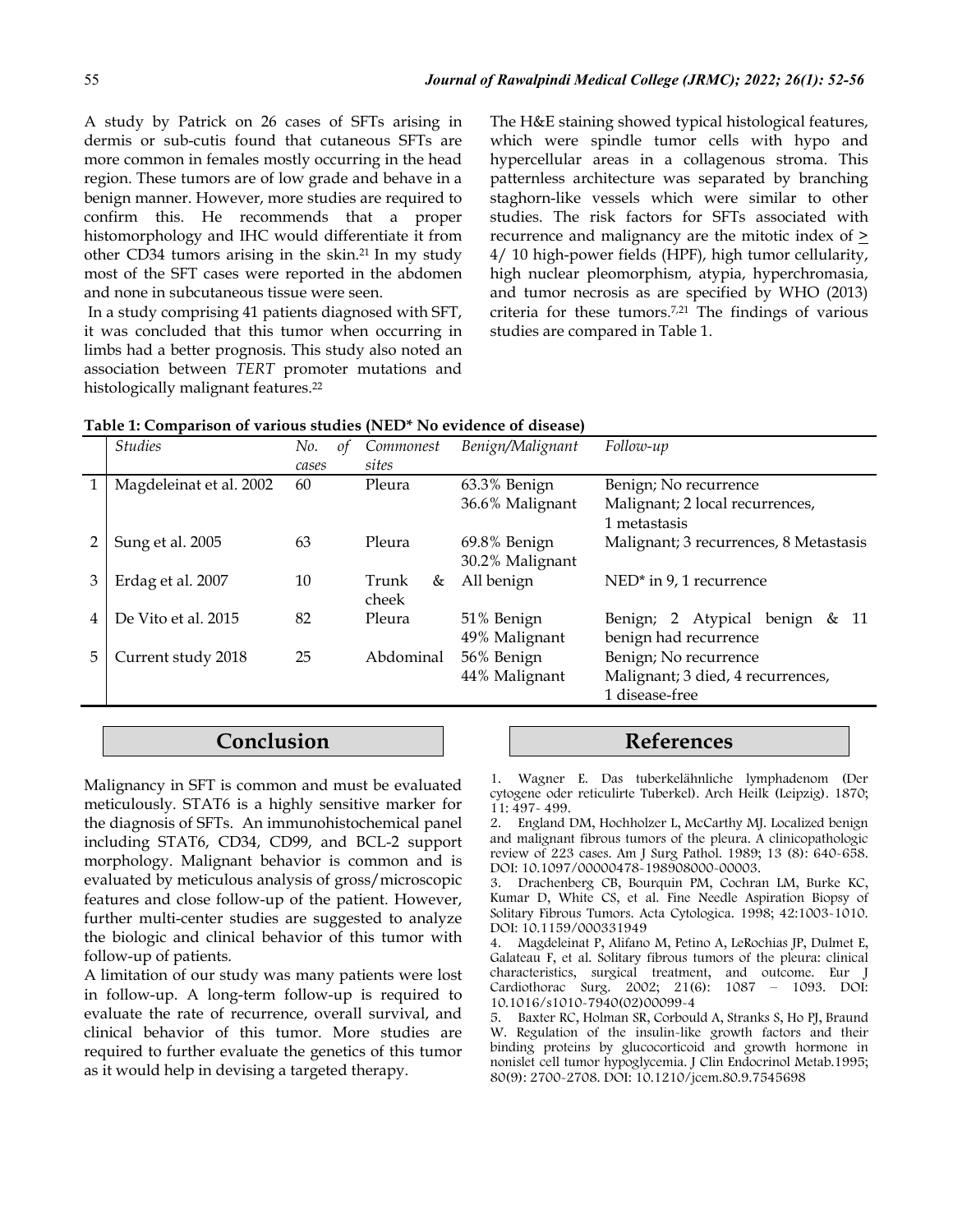A study by Patrick on 26 cases of SFTs arising in dermis or sub-cutis found that cutaneous SFTs are more common in females mostly occurring in the head region. These tumors are of low grade and behave in a benign manner. However, more studies are required to confirm this. He recommends that a proper histomorphology and IHC would differentiate it from other CD34 tumors arising in the skin.21 In my study most of the SFT cases were reported in the abdomen and none in subcutaneous tissue were seen.

In a study comprising 41 patients diagnosed with SFT, it was concluded that this tumor when occurring in limbs had a better prognosis. This study also noted an association between *TERT* promoter mutations and histologically malignant features.<sup>22</sup>

The H&E staining showed typical histological features, which were spindle tumor cells with hypo and hypercellular areas in a collagenous stroma. This patternless architecture was separated by branching staghorn-like vessels which were similar to other studies. The risk factors for SFTs associated with recurrence and malignancy are the mitotic index of  $\geq$ 4/ 10 high-power fields (HPF), high tumor cellularity, high nuclear pleomorphism, atypia, hyperchromasia, and tumor necrosis as are specified by WHO (2013) criteria for these tumors.7,21 The findings of various studies are compared in Table 1.

| Table 1: Comparison of various studies (NED* No evidence of disease) |  |
|----------------------------------------------------------------------|--|
|----------------------------------------------------------------------|--|

|   | <b>Studies</b>          | No.<br>of<br>cases | Commonest<br>sites  | Benign/Malignant                | Follow-up                                                                    |
|---|-------------------------|--------------------|---------------------|---------------------------------|------------------------------------------------------------------------------|
|   | Magdeleinat et al. 2002 | 60                 | Pleura              | 63.3% Benign<br>36.6% Malignant | Benign; No recurrence<br>Malignant; 2 local recurrences,<br>1 metastasis     |
|   | Sung et al. 2005        | 63                 | Pleura              | 69.8% Benign<br>30.2% Malignant | Malignant; 3 recurrences, 8 Metastasis                                       |
|   | Erdag et al. 2007       | 10                 | Trunk<br>&<br>cheek | All benign                      | $NED^*$ in 9, 1 recurrence                                                   |
| 4 | De Vito et al. 2015     | 82                 | Pleura              | 51% Benign<br>49% Malignant     | Benign; 2 Atypical benign & 11<br>benign had recurrence                      |
| 5 | Current study 2018      | 25                 | Abdominal           | 56% Benign<br>44% Malignant     | Benign; No recurrence<br>Malignant; 3 died, 4 recurrences,<br>1 disease-free |

## Conclusion

Malignancy in SFT is common and must be evaluated meticulously. STAT6 is a highly sensitive marker for the diagnosis of SFTs. An immunohistochemical panel including STAT6, CD34, CD99, and BCL-2 support morphology. Malignant behavior is common and is evaluated by meticulous analysis of gross/microscopic features and close follow-up of the patient. However, further multi-center studies are suggested to analyze the biologic and clinical behavior of this tumor with follow-up of patients.

A limitation of our study was many patients were lost in follow-up. A long-term follow-up is required to evaluate the rate of recurrence, overall survival, and clinical behavior of this tumor. More studies are required to further evaluate the genetics of this tumor as it would help in devising a targeted therapy.

### References

1. Wagner E. Das tuberkelähnliche lymphadenom (Der cytogene oder reticulirte Tuberkel). Arch Heilk (Leipzig). 1870; 11: 497- 499.

2. England DM, Hochholzer L, McCarthy MJ. Localized benign and malignant fibrous tumors of the pleura. A clinicopathologic review of 223 cases. Am J Surg Pathol. 1989; 13 (8): 640-658. DOI: 10.1097/00000478-198908000-00003.

3. Drachenberg CB, Bourquin PM, Cochran LM, Burke KC, Kumar D, White CS, et al. Fine Needle Aspiration Biopsy of Solitary Fibrous Tumors. Acta Cytologica. 1998; 42:1003-1010. DOI: 10.1159/000331949

4. Magdeleinat P, Alifano M, Petino A, LeRochias JP, Dulmet E, Galateau F, et al. Solitary fibrous tumors of the pleura: clinical characteristics, surgical treatment, and outcome. Eur J Cardiothorac Surg. 2002; 21(6): 1087 – 1093. DOI: 10.1016/s1010-7940(02)00099-4

5. Baxter RC, Holman SR, Corbould A, Stranks S, Ho PJ, Braund W. Regulation of the insulin-like growth factors and their binding proteins by glucocorticoid and growth hormone in nonislet cell tumor hypoglycemia. J Clin Endocrinol Metab.1995; 80(9): 2700-2708. DOI: 10.1210/jcem.80.9.7545698